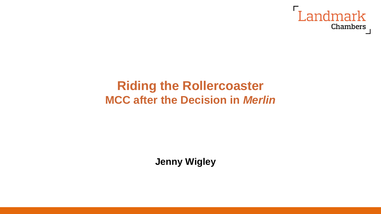

## **Riding the Rollercoaster MCC after the Decision in** *Merlin*

**Jenny Wigley**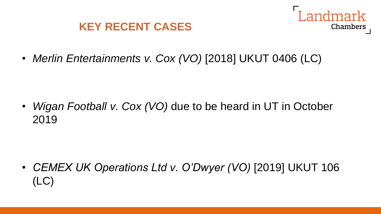



• *Merlin Entertainments v. Cox (VO)* [2018] UKUT 0406 (LC)

• *Wigan Football v. Cox (VO)* due to be heard in UT in October 2019

• *CEMEX UK Operations Ltd v. O'Dwyer (VO)* [2019] UKUT 106 (LC)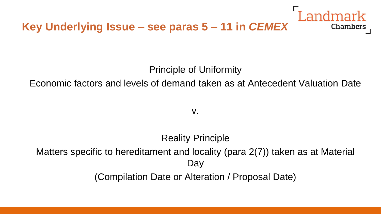

Principle of Uniformity

Economic factors and levels of demand taken as at Antecedent Valuation Date

v.

Reality Principle Matters specific to hereditament and locality (para 2(7)) taken as at Material Day (Compilation Date or Alteration / Proposal Date)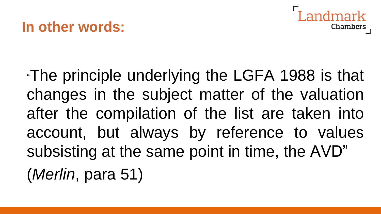## **In other words:**



"The principle underlying the LGFA 1988 is that changes in the subject matter of the valuation after the compilation of the list are taken into account, but always by reference to values subsisting at the same point in time, the AVD" (*Merlin*, para 51)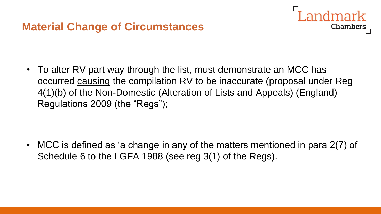### **Material Change of Circumstances**

• To alter RV part way through the list, must demonstrate an MCC has occurred causing the compilation RV to be inaccurate (proposal under Reg 4(1)(b) of the Non-Domestic (Alteration of Lists and Appeals) (England) Regulations 2009 (the "Regs");

andmark

Chambers

• MCC is defined as 'a change in any of the matters mentioned in para 2(7) of Schedule 6 to the LGFA 1988 (see reg 3(1) of the Regs).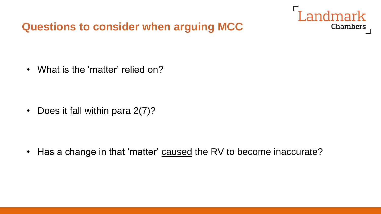### **Questions to consider when arguing MCC**



• What is the 'matter' relied on?

• Does it fall within para 2(7)?

• Has a change in that 'matter' caused the RV to become inaccurate?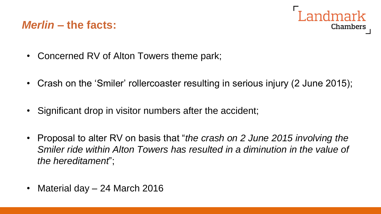### *Merlin –* **the facts:**



- Concerned RV of Alton Towers theme park;
- Crash on the 'Smiler' rollercoaster resulting in serious injury (2 June 2015);
- Significant drop in visitor numbers after the accident;
- Proposal to alter RV on basis that "*the crash on 2 June 2015 involving the Smiler ride within Alton Towers has resulted in a diminution in the value of the hereditament*";
- Material day 24 March 2016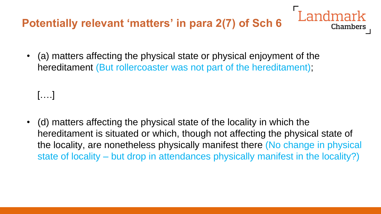### **Potentially relevant 'matters' in para 2(7) of Sch 6**

• (a) matters affecting the physical state or physical enjoyment of the hereditament (But rollercoaster was not part of the hereditament);

[….]

• (d) matters affecting the physical state of the locality in which the hereditament is situated or which, though not affecting the physical state of the locality, are nonetheless physically manifest there (No change in physical state of locality – but drop in attendances physically manifest in the locality?)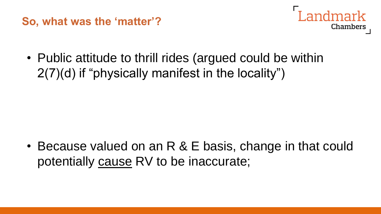**So, what was the 'matter'?**



• Public attitude to thrill rides (argued could be within 2(7)(d) if "physically manifest in the locality")

• Because valued on an R & E basis, change in that could potentially cause RV to be inaccurate;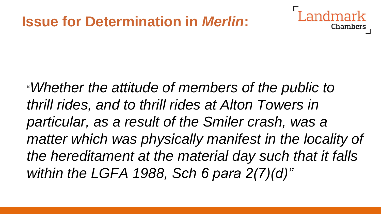## **Issue for Determination in** *Merlin***:**

"*Whether the attitude of members of the public to thrill rides, and to thrill rides at Alton Towers in particular, as a result of the Smiler crash, was a*  matter which was physically manifest in the locality of *the hereditament at the material day such that it falls within the LGFA 1988, Sch 6 para 2(7)(d)"*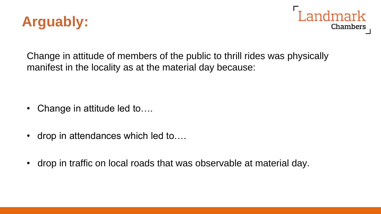



Change in attitude of members of the public to thrill rides was physically manifest in the locality as at the material day because:

- Change in attitude led to....
- drop in attendances which led to....
- drop in traffic on local roads that was observable at material day.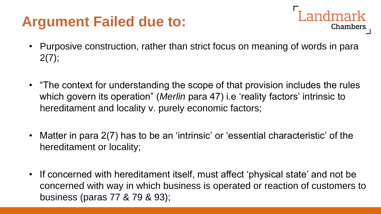# **Argument Failed due to:**

- Landmark **Chambers**
- Purposive construction, rather than strict focus on meaning of words in para  $2(7);$
- "The context for understanding the scope of that provision includes the rules which govern its operation" (*Merlin* para 47) i.e 'reality factors' intrinsic to hereditament and locality v. purely economic factors;
- Matter in para 2(7) has to be an 'intrinsic' or 'essential characteristic' of the hereditament or locality;
- If concerned with hereditament itself, must affect 'physical state' and not be concerned with way in which business is operated or reaction of customers to business (paras 77 & 79 & 93);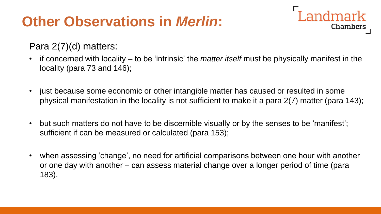# **Other Observations in** *Merlin***:**

#### Para 2(7)(d) matters:

• if concerned with locality – to be 'intrinsic' the *matter itself* must be physically manifest in the locality (para 73 and 146);

**Landmark** 

- just because some economic or other intangible matter has caused or resulted in some physical manifestation in the locality is not sufficient to make it a para 2(7) matter (para 143);
- but such matters do not have to be discernible visually or by the senses to be 'manifest'; sufficient if can be measured or calculated (para 153);
- when assessing 'change', no need for artificial comparisons between one hour with another or one day with another – can assess material change over a longer period of time (para 183).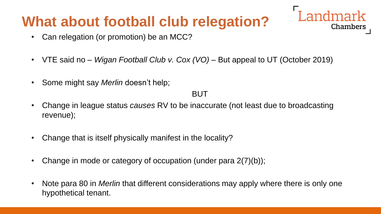# **What about football club relegation?**

- Can relegation (or promotion) be an MCC?
- VTE said no *Wigan Football Club v. Cox (VO) –* But appeal to UT (October 2019)
- Some might say *Merlin* doesn't help;

BUT

**Landmark** 

- Change in league status *causes* RV to be inaccurate (not least due to broadcasting revenue);
- Change that is itself physically manifest in the locality?
- Change in mode or category of occupation (under para 2(7)(b));
- Note para 80 in *Merlin* that different considerations may apply where there is only one hypothetical tenant.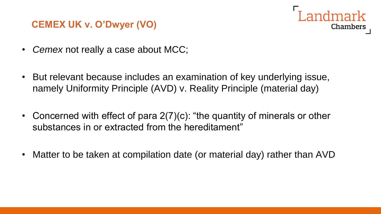#### **CEMEX UK v. O'Dwyer (VO)**



- *Cemex* not really a case about MCC;
- But relevant because includes an examination of key underlying issue, namely Uniformity Principle (AVD) v. Reality Principle (material day)
- Concerned with effect of para 2(7)(c): "the quantity of minerals or other substances in or extracted from the hereditament"
- Matter to be taken at compilation date (or material day) rather than AVD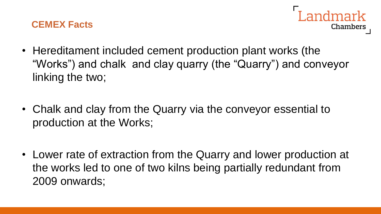#### **CEMEX Facts**



- Hereditament included cement production plant works (the "Works") and chalk and clay quarry (the "Quarry") and conveyor linking the two;
- Chalk and clay from the Quarry via the conveyor essential to production at the Works;
- Lower rate of extraction from the Quarry and lower production at the works led to one of two kilns being partially redundant from 2009 onwards;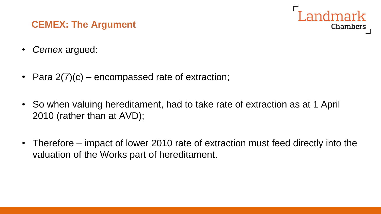#### **CEMEX: The Argument**

- *Cemex* argued:
- Para 2(7)(c) encompassed rate of extraction;
- So when valuing hereditament, had to take rate of extraction as at 1 April 2010 (rather than at AVD);
- Therefore impact of lower 2010 rate of extraction must feed directly into the valuation of the Works part of hereditament.

andmark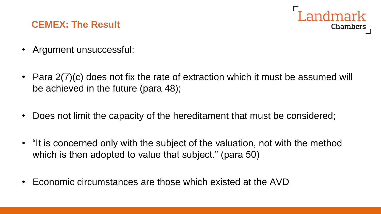#### **CEMEX: The Result**



- Argument unsuccessful;
- Para 2(7)(c) does not fix the rate of extraction which it must be assumed will be achieved in the future (para 48);
- Does not limit the capacity of the hereditament that must be considered;
- "It is concerned only with the subject of the valuation, not with the method which is then adopted to value that subject." (para 50)
- Economic circumstances are those which existed at the AVD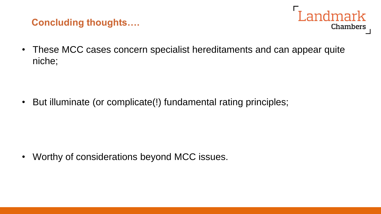#### **Concluding thoughts….**



• These MCC cases concern specialist hereditaments and can appear quite niche;

• But illuminate (or complicate(!) fundamental rating principles;

• Worthy of considerations beyond MCC issues.